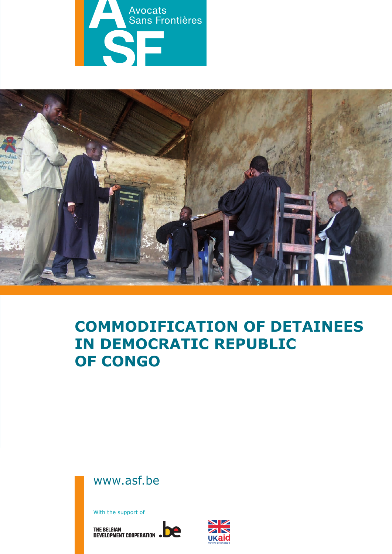



# **Commodification of detainees in Democratic Republic of Congo**

www.asf.be

With the support of

THE BELGIAN<br>DEVELOPMENT COOPERATION .DE

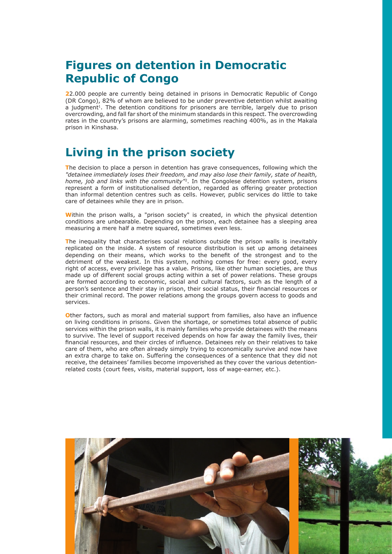## **Figures on detention in Democratic Republic of Congo**

**2**2.000 people are currently being detained in prisons in Democratic Republic of Congo (DR Congo), 82% of whom are believed to be under preventive detention whilst awaiting a judgment<sup>1</sup>. The detention conditions for prisoners are terrible, largely due to prison overcrowding, and fall far short of the minimum standards in this respect. The overcrowding rates in the country's prisons are alarming, sometimes reaching 400%, as in the Makala prison in Kinshasa.

## **Living in the prison society**

**T**he decision to place a person in detention has grave consequences, following which the *"detainee immediately loses their freedom, and may also lose their family, state of health, home, job and links with the community"*2. In the Congolese detention system, prisons represent a form of institutionalised detention, regarded as offering greater protection than informal detention centres such as cells. However, public services do little to take care of detainees while they are in prison.

**W**ithin the prison walls, a "prison society" is created, in which the physical detention conditions are unbearable. Depending on the prison, each detainee has a sleeping area measuring a mere half a metre squared, sometimes even less.

**T**he inequality that characterises social relations outside the prison walls is inevitably replicated on the inside. A system of resource distribution is set up among detainees depending on their means, which works to the benefit of the strongest and to the detriment of the weakest. In this system, nothing comes for free: every good, every right of access, every privilege has a value. Prisons, like other human societies, are thus made up of different social groups acting within a set of power relations. These groups are formed according to economic, social and cultural factors, such as the length of a person's sentence and their stay in prison, their social status, their financial resources or their criminal record. The power relations among the groups govern access to goods and services.

**O**ther factors, such as moral and material support from families, also have an influence on living conditions in prisons. Given the shortage, or sometimes total absence of public services within the prison walls, it is mainly families who provide detainees with the means to survive. The level of support received depends on how far away the family lives, their financial resources, and their circles of influence. Detainees rely on their relatives to take care of them, who are often already simply trying to economically survive and now have an extra charge to take on. Suffering the consequences of a sentence that they did not receive, the detainees' families become impoverished as they cover the various detentionrelated costs (court fees, visits, material support, loss of wage-earner, etc.).

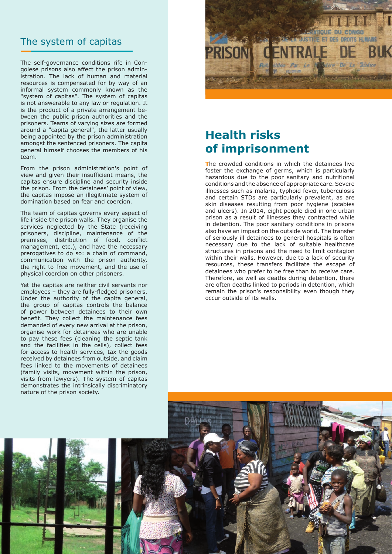#### The system of capitas

The self-governance conditions rife in Congolese prisons also affect the prison administration. The lack of human and material resources is compensated for by way of an informal system commonly known as the "system of capitas". The system of capitas is not answerable to any law or regulation. It is the product of a private arrangement between the public prison authorities and the prisoners. Teams of varying sizes are formed around a "capita general", the latter usually being appointed by the prison administration amongst the sentenced prisoners. The capita general himself chooses the members of his team.

From the prison administration's point of view and given their insufficient means, the capitas ensure discipline and security inside the prison. From the detainees' point of view, the capitas impose an illegitimate system of domination based on fear and coercion.

The team of capitas governs every aspect of life inside the prison walls. They organise the services neglected by the State (receiving prisoners, discipline, maintenance of the premises, distribution of food, conflict management, etc.), and have the necessary prerogatives to do so: a chain of command, communication with the prison authority, the right to free movement, and the use of physical coercion on other prisoners.

Yet the capitas are neither civil servants nor employees – they are fully-fledged prisoners. Under the authority of the capita general, the group of capitas controls the balance of power between detainees to their own benefit. They collect the maintenance fees demanded of every new arrival at the prison, organise work for detainees who are unable to pay these fees (cleaning the septic tank and the facilities in the cells), collect fees for access to health services, tax the goods received by detainees from outside, and claim fees linked to the movements of detainees (family visits, movement within the prison, visits from lawyers). The system of capitas demonstrates the intrinsically discriminatory nature of the prison society.



## **Health risks of imprisonment**

**T**he crowded conditions in which the detainees live foster the exchange of germs, which is particularly hazardous due to the poor sanitary and nutritional conditions and the absence of appropriate care. Severe illnesses such as malaria, typhoid fever, tuberculosis and certain STDs are particularly prevalent, as are skin diseases resulting from poor hygiene (scabies and ulcers). In 2014, eight people died in one urban prison as a result of illnesses they contracted while in detention. The poor sanitary conditions in prisons also have an impact on the outside world. The transfer of seriously ill detainees to general hospitals is often necessary due to the lack of suitable healthcare structures in prisons and the need to limit contagion within their walls. However, due to a lack of security resources, these transfers facilitate the escape of detainees who prefer to be free than to receive care. Therefore, as well as deaths during detention, there are often deaths linked to periods in detention, which remain the prison's responsibility even though they occur outside of its walls.

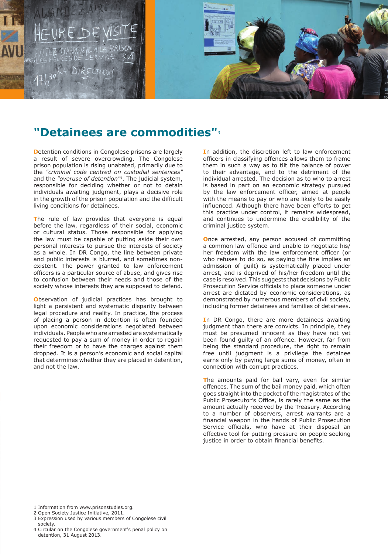

### **"Detainees are commodities"**3

**Detention conditions in Congolese prisons are largely** a result of severe overcrowding. The Congolese prison population is rising unabated, primarily due to the *"criminal code centred on custodial sentences"* and the *"overuse of detention"4*. The judicial system, responsible for deciding whether or not to detain individuals awaiting judgment, plays a decisive role in the growth of the prison population and the difficult living conditions for detainees.

The rule of law provides that everyone is equal before the law, regardless of their social, economic or cultural status. Those responsible for applying the law must be capable of putting aside their own personal interests to pursue the interests of society as a whole. In DR Congo, the line between private and public interests is blurred, and sometimes nonexistent. The power granted to law enforcement officers is a particular source of abuse, and gives rise to confusion between their needs and those of the society whose interests they are supposed to defend.

**O**bservation of judicial practices has brought to light a persistent and systematic disparity between legal procedure and reality. In practice, the process of placing a person in detention is often founded upon economic considerations negotiated between individuals. People who are arrested are systematically requested to pay a sum of money in order to regain their freedom or to have the charges against them dropped. It is a person's economic and social capital that determines whether they are placed in detention, and not the law.

**I**n addition, the discretion left to law enforcement officers in classifying offences allows them to frame them in such a way as to tilt the balance of power to their advantage, and to the detriment of the individual arrested. The decision as to who to arrest is based in part on an economic strategy pursued by the law enforcement officer, aimed at people with the means to pay or who are likely to be easily influenced. Although there have been efforts to get this practice under control, it remains widespread, and continues to undermine the credibility of the criminal justice system.

**O**nce arrested, any person accused of committing a common law offence and unable to negotiate his/ her freedom with the law enforcement officer (or who refuses to do so, as paying the fine implies an admission of guilt) is systematically placed under arrest, and is deprived of his/her freedom until the case is resolved. This suggests that decisions by Public Prosecution Service officials to place someone under arrest are dictated by economic considerations, as demonstrated by numerous members of civil society, including former detainees and families of detainees.

**I**n DR Congo, there are more detainees awaiting judgment than there are convicts. In principle, they must be presumed innocent as they have not yet been found guilty of an offence. However, far from being the standard procedure, the right to remain free until judgment is a privilege the detainee earns only by paying large sums of money, often in connection with corrupt practices.

**T**he amounts paid for bail vary, even for similar offences. The sum of the bail money paid, which often goes straight into the pocket of the magistrates of the Public Prosecutor's Office, is rarely the same as the amount actually received by the Treasury. According to a number of observers, arrest warrants are a financial weapon in the hands of Public Prosecution Service officials, who have at their disposal an effective tool for putting pressure on people seeking justice in order to obtain financial benefits.

- 1 Information from www.prisonstudies.org.
- 2 Open Society Justice Initiative, 2011.
- 3 Expression used by various members of Congolese civil society.
- 4 Circular on the Congolese government's penal policy on detention, 31 August 2013.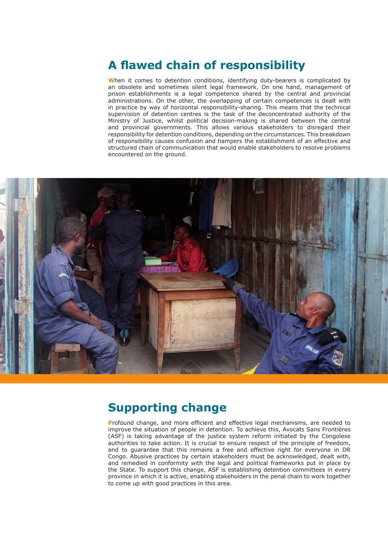## **A flawed chain of responsibility**

**W**hen it comes to detention conditions, identifying duty-bearers is complicated by an obsolete and sometimes silent legal framework. On one hand, management of prison establishments is a legal competence shared by the central and provincial administrations. On the other, the overlapping of certain competences is dealt with in practice by way of horizontal responsibility-sharing. This means that the technical supervision of detention centres is the task of the deconcentrated authority of the Ministry of Justice, whilst political decision-making is shared between the central and provincial governments. This allows various stakeholders to disregard their responsibility for detention conditions, depending on the circumstances. This breakdown of responsibility causes confusion and hampers the establishment of an effective and structured chain of communication that would enable stakeholders to resolve problems encountered on the ground.



#### **Supporting change**

**P**rofound change, and more efficient and effective legal mechanisms, are needed to improve the situation of people in detention. To achieve this, Avocats Sans Frontières (ASF) is taking advantage of the justice system reform initiated by the Congolese authorities to take action. It is crucial to ensure respect of the principle of freedom, and to guarantee that this remains a free and effective right for everyone in DR Congo. Abusive practices by certain stakeholders must be acknowledged, dealt with, and remedied in conformity with the legal and political frameworks put in place by the State. To support this change, ASF is establishing detention committees in every province in which it is active, enabling stakeholders in the penal chain to work together to come up with good practices in this area.